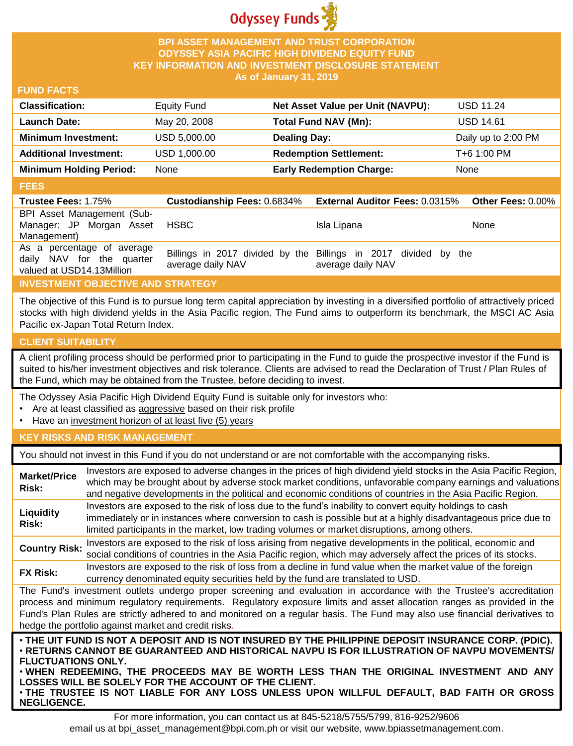

### **BPI ASSET MANAGEMENT AND TRUST CORPORATION ODYSSEY ASIA PACIFIC HIGH DIVIDEND EQUITY FUND KEY INFORMATION AND INVESTMENT DISCLOSURE STATEMENT As of January 31, 2019**

#### **FUND FACTS**

| <b>Classification:</b>         | Equity Fund  | Net Asset Value per Unit (NAVPU): | <b>USD 11.24</b>    |
|--------------------------------|--------------|-----------------------------------|---------------------|
| <b>Launch Date:</b>            | May 20, 2008 | Total Fund NAV (Mn):              | <b>USD 14.61</b>    |
| <b>Minimum Investment:</b>     | USD 5,000.00 | <b>Dealing Day:</b>               | Daily up to 2:00 PM |
| <b>Additional Investment:</b>  | USD 1,000.00 | <b>Redemption Settlement:</b>     | T+6 1:00 PM         |
| <b>Minimum Holding Period:</b> | None         | <b>Early Redemption Charge:</b>   | None                |

#### **FEES**

| <b>Trustee Fees: 1.75%</b>                                                           |                   | Custodianship Fees: 0.6834% External Auditor Fees: 0.0315%                           | <b>Other Fees: 0.00%</b> |
|--------------------------------------------------------------------------------------|-------------------|--------------------------------------------------------------------------------------|--------------------------|
| BPI Asset Management (Sub-<br>Manager: JP Morgan Asset<br>Management)                | HSBC.             | Isla Lipana                                                                          | <b>None</b>              |
| As a percentage of average<br>daily NAV for the quarter<br>valued at USD14.13Million | average daily NAV | Billings in 2017 divided by the Billings in 2017 divided by the<br>average daily NAV |                          |

## **INVESTMENT OBJECTIVE AND STRATEGY**

The objective of this Fund is to pursue long term capital appreciation by investing in a diversified portfolio of attractively priced stocks with high dividend yields in the Asia Pacific region. The Fund aims to outperform its benchmark, the MSCI AC Asia Pacific ex-Japan Total Return Index.

### **CLIENT SUITABILITY**

**NEGLIGENCE.**

A client profiling process should be performed prior to participating in the Fund to guide the prospective investor if the Fund is suited to his/her investment objectives and risk tolerance. Clients are advised to read the Declaration of Trust / Plan Rules of the Fund, which may be obtained from the Trustee, before deciding to invest.

The Odyssey Asia Pacific High Dividend Equity Fund is suitable only for investors who:

- Are at least classified as aggressive based on their risk profile
- Have an investment horizon of at least five (5) years

### **KEY RISKS AND RISK MANAGEMENT**

You should not invest in this Fund if you do not understand or are not comfortable with the accompanying risks.

| <b>Market/Price</b><br>Risk:                                                                                                                                                                                                                                                                                                                                                                                                                                                 | Investors are exposed to adverse changes in the prices of high dividend yield stocks in the Asia Pacific Region,<br>which may be brought about by adverse stock market conditions, unfavorable company earnings and valuations<br>and negative developments in the political and economic conditions of countries in the Asia Pacific Region. |  |  |
|------------------------------------------------------------------------------------------------------------------------------------------------------------------------------------------------------------------------------------------------------------------------------------------------------------------------------------------------------------------------------------------------------------------------------------------------------------------------------|-----------------------------------------------------------------------------------------------------------------------------------------------------------------------------------------------------------------------------------------------------------------------------------------------------------------------------------------------|--|--|
| Liquidity<br>Risk:                                                                                                                                                                                                                                                                                                                                                                                                                                                           | Investors are exposed to the risk of loss due to the fund's inability to convert equity holdings to cash<br>immediately or in instances where conversion to cash is possible but at a highly disadvantageous price due to<br>limited participants in the market, low trading volumes or market disruptions, among others.                     |  |  |
| <b>Country Risk:</b>                                                                                                                                                                                                                                                                                                                                                                                                                                                         | Investors are exposed to the risk of loss arising from negative developments in the political, economic and<br>social conditions of countries in the Asia Pacific region, which may adversely affect the prices of its stocks.                                                                                                                |  |  |
| <b>FX Risk:</b>                                                                                                                                                                                                                                                                                                                                                                                                                                                              | Investors are exposed to the risk of loss from a decline in fund value when the market value of the foreign<br>currency denominated equity securities held by the fund are translated to USD.                                                                                                                                                 |  |  |
| The Fund's investment outlets undergo proper screening and evaluation in accordance with the Trustee's accreditation<br>process and minimum regulatory requirements. Regulatory exposure limits and asset allocation ranges as provided in the<br>Fund's Plan Rules are strictly adhered to and monitored on a regular basis. The Fund may also use financial derivatives to<br>hedge the portfolio against market and credit risks.                                         |                                                                                                                                                                                                                                                                                                                                               |  |  |
| . THE UIT FUND IS NOT A DEPOSIT AND IS NOT INSURED BY THE PHILIPPINE DEPOSIT INSURANCE CORP. (PDIC).<br>⋅RETURNS CANNOT BE GUARANTEED AND HISTORICAL NAVPU IS FOR ILLUSTRATION OF NAVPU MOVEMENTS/<br><b>FLUCTUATIONS ONLY.</b><br>. WHEN REDEEMING, THE PROCEEDS MAY BE WORTH LESS THAN THE ORIGINAL INVESTMENT AND ANY<br>LOSSES WILL BE SOLELY FOR THE ACCOUNT OF THE CLIENT.<br>. THE TRUSTEE IS NOT LIABLE FOR ANY LOSS UNLESS UPON WILLFUL DEFAULT, BAD FAITH OR GROSS |                                                                                                                                                                                                                                                                                                                                               |  |  |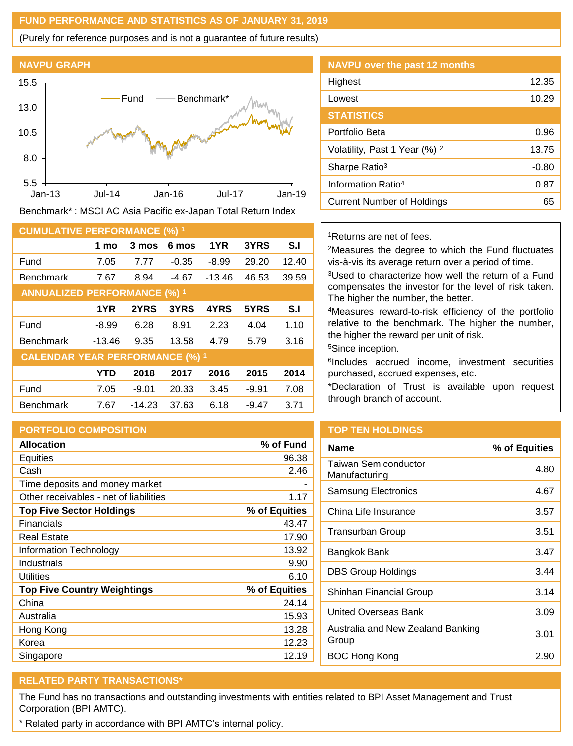### **FUND PERFORMANCE AND STATISTICS AS OF JANUARY 31, 2019**

(Purely for reference purposes and is not a guarantee of future results)



Benchmark\* : MSCI AC Asia Pacific ex-Japan Total Return Index

| <b>CUMULATIVE PERFORMANCE (%) 1</b>    |            |          |         |          |         |       |
|----------------------------------------|------------|----------|---------|----------|---------|-------|
|                                        | 1 mo       | 3 mos    | 6 mos   | 1YR      | 3YRS    | S.I   |
| Fund                                   | 7.05       | 7.77     | $-0.35$ | $-8.99$  | 29.20   | 12.40 |
| <b>Benchmark</b>                       | 7.67       | 8.94     | $-4.67$ | $-13.46$ | 46.53   | 39.59 |
| <b>ANNUALIZED PERFORMANCE (%) 1</b>    |            |          |         |          |         |       |
|                                        | 1YR        | 2YRS     | 3YRS    | 4YRS     | 5YRS    | S.I   |
| Fund                                   | $-8.99$    | 6.28     | 8.91    | 2.23     | 4.04    | 1.10  |
| <b>Benchmark</b>                       | $-13.46$   | 9.35     | 13.58   | 4.79     | 5.79    | 3.16  |
| <b>CALENDAR YEAR PERFORMANCE (%) 1</b> |            |          |         |          |         |       |
|                                        | <b>YTD</b> | 2018     | 2017    | 2016     | 2015    | 2014  |
| Fund                                   | 7.05       | $-9.01$  | 20.33   | 3.45     | $-9.91$ | 7.08  |
| <b>Benchmark</b>                       | 7.67       | $-14.23$ | 37.63   | 6.18     | $-9.47$ | 3.71  |

### **PORTFOLIO COMPOSITION**

| <b>Allocation</b>                      | % of Fund     |
|----------------------------------------|---------------|
| Equities                               | 96.38         |
| Cash                                   | 2.46          |
| Time deposits and money market         |               |
| Other receivables - net of liabilities | 1.17          |
| <b>Top Five Sector Holdings</b>        | % of Equities |
| Financials                             | 43.47         |
| <b>Real Estate</b>                     | 17.90         |
| Information Technology                 | 13.92         |
| Industrials                            | 9.90          |
| <b>Utilities</b>                       | 6.10          |
| <b>Top Five Country Weightings</b>     | % of Equities |
| China                                  | 24.14         |
| Australia                              | 15.93         |
| Hong Kong                              | 13.28         |
| Korea                                  | 12.23         |
| Singapore                              | 12.19         |

| <b>NAVPU over the past 12 months</b>     |         |
|------------------------------------------|---------|
| Highest                                  | 12.35   |
| Lowest                                   | 10.29   |
| <b>STATISTICS</b>                        |         |
| Portfolio Beta                           | 0.96    |
| Volatility, Past 1 Year (%) <sup>2</sup> | 13.75   |
| Sharpe Ratio <sup>3</sup>                | $-0.80$ |
| Information Ratio <sup>4</sup>           | 0.87    |
| Current Number of Holdings               | 65      |

#### <sup>1</sup>Returns are net of fees.

<sup>2</sup>Measures the degree to which the Fund fluctuates vis-à-vis its average return over a period of time.

<sup>3</sup>Used to characterize how well the return of a Fund compensates the investor for the level of risk taken. The higher the number, the better.

<sup>4</sup>Measures reward-to-risk efficiency of the portfolio relative to the benchmark. The higher the number, the higher the reward per unit of risk.

<sup>5</sup>Since inception.

6 Includes accrued income, investment securities purchased, accrued expenses, etc.

\*Declaration of Trust is available upon request through branch of account.

## **TOP TEN HOLDINGS**

| <b>Name</b>                                | % of Equities |
|--------------------------------------------|---------------|
| Taiwan Semiconductor<br>Manufacturing      | 4.80          |
| Samsung Electronics                        | 4.67          |
| China Life Insurance                       | 3.57          |
| Transurban Group                           | 3.51          |
| Bangkok Bank                               | 3.47          |
| DBS Group Holdings                         | 3.44          |
| Shinhan Financial Group                    | 3.14          |
| United Overseas Bank                       | 3.09          |
| Australia and New Zealand Banking<br>Group | 3.01          |
| <b>BOC Hong Kong</b>                       | 2.90          |

# **RELATED PARTY TRANSACTIONS\***

The Fund has no transactions and outstanding investments with entities related to BPI Asset Management and Trust Corporation (BPI AMTC).

\* Related party in accordance with BPI AMTC's internal policy.